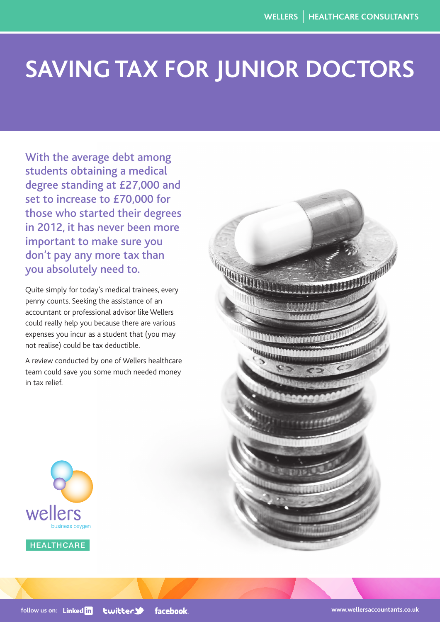## **Saving Tax for Junior Doctors**

With the average debt among students obtaining a medical degree standing at £27,000 and set to increase to £70,000 for those who started their degrees in 2012, it has never been more important to make sure you don't pay any more tax than you absolutely need to.

Quite simply for today's medical trainees, every penny counts. Seeking the assistance of an accountant or professional advisor like Wellers could really help you because there are various expenses you incur as a student that (you may not realise) could be tax deductible.

A review conducted by one of Wellers healthcare team could save you some much needed money in tax relief.